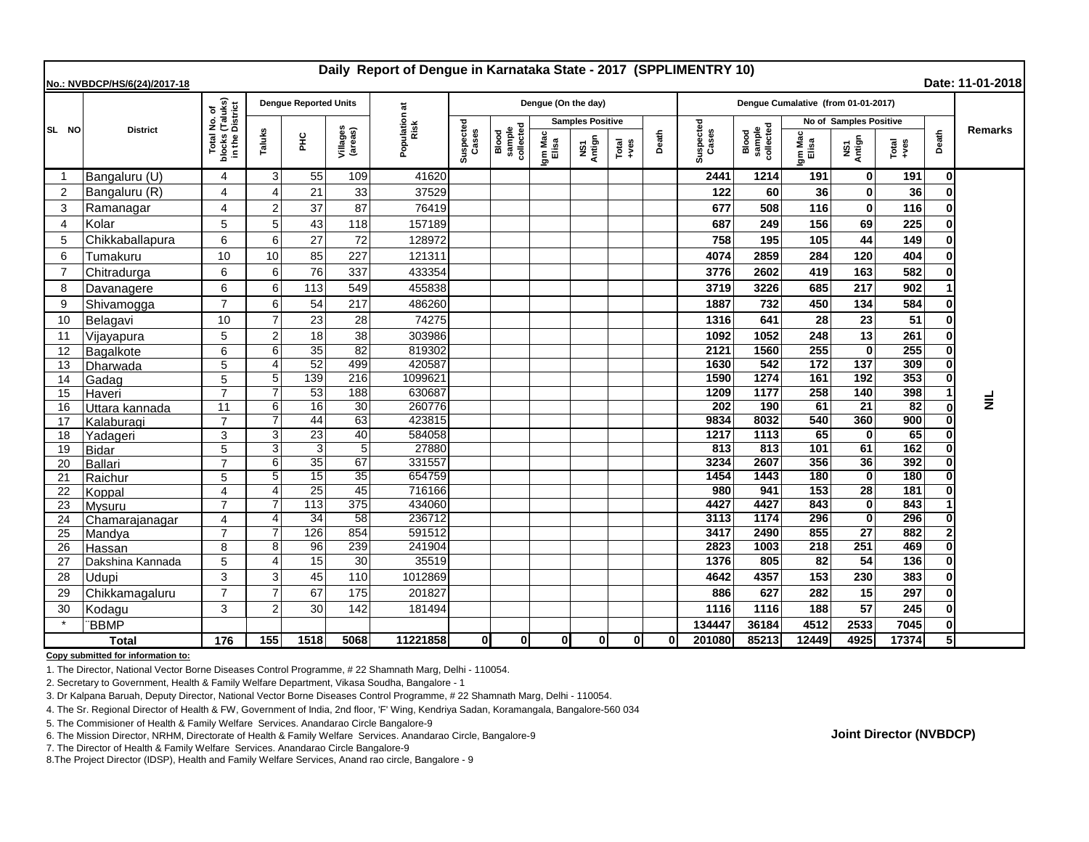| Daily Report of Dengue in Karnataka State - 2017 (SPPLIMENTRY 10)<br>Date: 11-01-2018<br>No.: NVBDCP/HS/6(24)/2017-18 |                  |                                                                     |                     |                              |                     |                    |                    |                              |                         |                                                                               |       |                         |                              |                        |               |                                     |                 |                |           |
|-----------------------------------------------------------------------------------------------------------------------|------------------|---------------------------------------------------------------------|---------------------|------------------------------|---------------------|--------------------|--------------------|------------------------------|-------------------------|-------------------------------------------------------------------------------|-------|-------------------------|------------------------------|------------------------|---------------|-------------------------------------|-----------------|----------------|-----------|
|                                                                                                                       |                  |                                                                     |                     | <b>Dengue Reported Units</b> |                     | ಹ                  |                    |                              | Dengue (On the day)     |                                                                               |       |                         |                              |                        |               | Dengue Cumalative (from 01-01-2017) |                 |                |           |
| SL NO                                                                                                                 | <b>District</b>  | I No. of<br>i (Taluks)<br>District<br>Total<br>blocks (<br>in the I |                     |                              |                     | Population<br>Risk |                    |                              | <b>Samples Positive</b> |                                                                               |       |                         |                              | No of Samples Positive |               |                                     |                 |                |           |
|                                                                                                                       |                  |                                                                     | Taluks              | E                            | Villages<br>(areas) |                    | Suspected<br>Cases | sample<br>collected<br>Blood | Igm Mac<br>Elisa        | NS1<br>Antign<br>$\begin{array}{c}\n\text{Total} \\ \text{+ves}\n\end{array}$ | Death | uspected<br>Cases<br>ō, | Blood<br>sample<br>collected | Igm Mac<br>Elisa       | NS1<br>Antign | Total<br>+ves                       | Death           | <b>Remarks</b> |           |
| -1                                                                                                                    | Bangaluru (U)    | 4                                                                   | 3                   | 55                           | 109                 | 41620              |                    |                              |                         |                                                                               |       |                         | 2441                         | 1214                   | 191           | $\mathbf{0}$                        | 191             | 0              |           |
| 2                                                                                                                     | Bangaluru (R)    | 4                                                                   | $\overline{4}$      | 21                           | 33                  | 37529              |                    |                              |                         |                                                                               |       |                         | 122                          | 60                     | 36            | $\mathbf{0}$                        | 36              |                |           |
| 3                                                                                                                     | Ramanagar        | 4                                                                   | $\overline{2}$      | 37                           | 87                  | 76419              |                    |                              |                         |                                                                               |       |                         | 677                          | 508                    | 116           | $\mathbf{0}$                        | 116             |                |           |
| $\overline{4}$                                                                                                        | Kolar            | 5                                                                   | 5                   | 43                           | 118                 | 157189             |                    |                              |                         |                                                                               |       |                         | 687                          | 249                    | 156           | 69                                  | 225             |                |           |
| 5                                                                                                                     | Chikkaballapura  | 6                                                                   | 6                   | 27                           | 72                  | 128972             |                    |                              |                         |                                                                               |       |                         | 758                          | 195                    | 105           | 44                                  | 149             |                |           |
| 6                                                                                                                     | Tumakuru         | 10                                                                  | 10                  | 85                           | 227                 | 121311             |                    |                              |                         |                                                                               |       |                         | 4074                         | 2859                   | 284           | 120                                 | 404             |                |           |
| $\overline{7}$                                                                                                        | Chitradurga      | 6                                                                   | 6                   | 76                           | 337                 | 433354             |                    |                              |                         |                                                                               |       |                         | 3776                         | 2602                   | 419           | 163                                 | 582             |                |           |
| 8                                                                                                                     | Davanagere       | 6                                                                   | 6                   | 113                          | 549                 | 455838             |                    |                              |                         |                                                                               |       |                         | 3719                         | 3226                   | 685           | 217                                 | 902             |                |           |
| 9                                                                                                                     | Shivamogga       | $\overline{7}$                                                      | 6                   | 54                           | 217                 | 486260             |                    |                              |                         |                                                                               |       |                         | 1887                         | 732                    | 450           | 134                                 | 584             |                |           |
| 10                                                                                                                    | Belagavi         | 10                                                                  | $\overline{7}$      | 23                           | 28                  | 74275              |                    |                              |                         |                                                                               |       |                         | 1316                         | 641                    | 28            | 23                                  | 51              |                |           |
| 11                                                                                                                    | Vijayapura       | 5                                                                   | $\overline{2}$      | 18                           | 38                  | 303986             |                    |                              |                         |                                                                               |       |                         | 1092                         | 1052                   | 248           | 13                                  | 261             |                |           |
| 12                                                                                                                    | Bagalkote        | 6                                                                   | 6                   | 35                           | 82                  | 819302             |                    |                              |                         |                                                                               |       |                         | 2121                         | 1560                   | 255           | $\mathbf{0}$                        | 255             |                |           |
| 13                                                                                                                    | Dharwada         | 5                                                                   | $\overline{4}$      | 52                           | 499                 | 420587             |                    |                              |                         |                                                                               |       |                         | 1630                         | 542                    | 172           | 137                                 | 309             |                |           |
| 14                                                                                                                    | Gadag            | 5                                                                   | 5                   | 139                          | 216                 | 1099621            |                    |                              |                         |                                                                               |       |                         | 1590                         | 1274                   | 161           | 192                                 | 353             |                |           |
| 15                                                                                                                    | Haveri           | $\overline{7}$                                                      | $\overline{7}$      | 53                           | 188                 | 630687             |                    |                              |                         |                                                                               |       |                         | 1209                         | 1177                   | 258           | 140                                 | 398             |                | $\vec{z}$ |
| 16                                                                                                                    | Uttara kannada   | 11                                                                  | 6                   | 16                           | 30                  | 260776             |                    |                              |                         |                                                                               |       |                         | 202                          | 190                    | 61            | $\overline{21}$                     | $\overline{82}$ |                |           |
| 17                                                                                                                    | Kalaburagi       | $\overline{7}$                                                      | $\overline{7}$      | $\overline{44}$              | 63                  | 423815             |                    |                              |                         |                                                                               |       |                         | 9834                         | 8032                   | 540           | 360                                 | 900             |                |           |
| 18                                                                                                                    | Yadageri         | 3                                                                   | 3                   | 23                           | 40                  | 584058             |                    |                              |                         |                                                                               |       |                         | 1217                         | 1113                   | 65            | $\mathbf{0}$                        | 65              |                |           |
| 19                                                                                                                    | <b>Bidar</b>     | 5                                                                   | 3                   | 3                            | $5\phantom{.0}$     | 27880              |                    |                              |                         |                                                                               |       |                         | 813                          | 813                    | 101           | 61                                  | 162             |                |           |
| 20                                                                                                                    | <b>Ballari</b>   | 7                                                                   | 6                   | 35<br>15                     | 67                  | 331557             |                    |                              |                         |                                                                               |       |                         | 3234                         | 2607                   | 356           | 36                                  | 392<br>180      |                |           |
| 21                                                                                                                    | Raichur          | 5<br>4                                                              | 5<br>$\overline{4}$ | 25                           | 35<br>45            | 654759<br>716166   |                    |                              |                         |                                                                               |       |                         | 1454<br>980                  | 1443<br>941            | 180<br>153    | 0 <br>$\overline{28}$               | 181             |                |           |
| 22<br>23                                                                                                              | Koppal<br>Mysuru | $\overline{7}$                                                      |                     | 113                          | 375                 | 434060             |                    |                              |                         |                                                                               |       |                         | 4427                         | 4427                   | 843           | $\mathbf{0}$                        | 843             |                |           |
| 24                                                                                                                    | Chamarajanagar   | 4                                                                   | $\overline{4}$      | 34                           | 58                  | 236712             |                    |                              |                         |                                                                               |       |                         | 3113                         | 1174                   | 296           | 0                                   | 296             |                |           |
| 25                                                                                                                    | Mandya           |                                                                     |                     | 126                          | 854                 | 591512             |                    |                              |                         |                                                                               |       |                         | 3417                         | 2490                   | 855           | $\overline{27}$                     | 882             |                |           |
| 26                                                                                                                    | Hassan           | 8                                                                   | 8                   | 96                           | 239                 | 241904             |                    |                              |                         |                                                                               |       |                         | 2823                         | 1003                   | 218           | 251                                 | 469             |                |           |
| 27                                                                                                                    | Dakshina Kannada | 5                                                                   | $\overline{4}$      | 15                           | 30                  | 35519              |                    |                              |                         |                                                                               |       |                         | 1376                         | 805                    | 82            | 54                                  | 136             |                |           |
| 28                                                                                                                    | Udupi            | 3                                                                   | 3                   | 45                           | 110                 | 1012869            |                    |                              |                         |                                                                               |       |                         | 4642                         | 4357                   | 153           | 230                                 | 383             |                |           |
| 29                                                                                                                    | Chikkamagaluru   | $\overline{7}$                                                      | $\overline{7}$      | 67                           | 175                 | 201827             |                    |                              |                         |                                                                               |       |                         | 886                          | 627                    | 282           | 15                                  | 297             |                |           |
| 30                                                                                                                    | Kodagu           | 3                                                                   | $\overline{2}$      | 30                           | 142                 | 181494             |                    |                              |                         |                                                                               |       |                         | 1116                         | 1116                   | 188           | 57                                  | 245             |                |           |
|                                                                                                                       | <b>BBMP</b>      |                                                                     |                     |                              |                     |                    |                    |                              |                         |                                                                               |       |                         | 134447                       | 36184                  | 4512          | 2533                                | 7045            |                |           |
| <b>Total</b>                                                                                                          |                  | 176                                                                 | 155                 | 1518                         | 5068                | 11221858           | 0l                 | Οl                           | 0                       | οl                                                                            | 0     | ΩI                      | 201080                       | 85213                  | 12449         | 4925                                | 17374           |                |           |

**Copy submitted for information to:**

1. The Director, National Vector Borne Diseases Control Programme, # 22 Shamnath Marg, Delhi - 110054.

2. Secretary to Government, Health & Family Welfare Department, Vikasa Soudha, Bangalore - 1

3. Dr Kalpana Baruah, Deputy Director, National Vector Borne Diseases Control Programme, # 22 Shamnath Marg, Delhi - 110054.

4. The Sr. Regional Director of Health & FW, Government of India, 2nd floor, 'F' Wing, Kendriya Sadan, Koramangala, Bangalore-560 034

5. The Commisioner of Health & Family Welfare Services. Anandarao Circle Bangalore-9

6. The Mission Director, NRHM, Directorate of Health & Family Welfare Services. Anandarao Circle, Bangalore-9

7. The Director of Health & Family Welfare Services. Anandarao Circle Bangalore-9

8.The Project Director (IDSP), Health and Family Welfare Services, Anand rao circle, Bangalore - 9

**Joint Director (NVBDCP)**